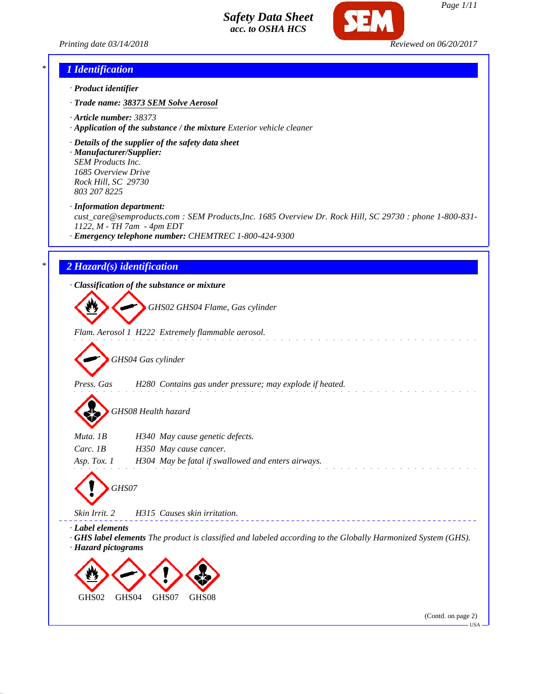*Printing date 03/14/2018 Reviewed on 06/20/2017*



#### *\* 1 Identification*

- *· Product identifier*
- *· Trade name: 38373 SEM Solve Aerosol*
- *· Article number: 38373*
- *· Application of the substance / the mixture Exterior vehicle cleaner*
- *· Details of the supplier of the safety data sheet*
- *· Manufacturer/Supplier: SEM Products Inc. 1685 Overview Drive Rock Hill, SC 29730 803 207 8225*

*· Information department:*

*cust\_care@semproducts.com : SEM Products,Inc. 1685 Overview Dr. Rock Hill, SC 29730 : phone 1-800-831- 1122, M - TH 7am - 4pm EDT*

*· Emergency telephone number: CHEMTREC 1-800-424-9300*

### *\* 2 Hazard(s) identification*

*· Classification of the substance or mixture*

*GHS02 GHS04 Flame, Gas cylinder*

*Flam. Aerosol 1 H222 Extremely flammable aerosol.*

*GHS04 Gas cylinder*

*Press. Gas H280 Contains gas under pressure; may explode if heated.*

*GHS08 Health hazard*

| Muta. 1B      | H340 May cause genetic defects.                    |
|---------------|----------------------------------------------------|
| Carc. $IB$    | H350 May cause cancer.                             |
| Asp. Tox. $1$ | H304 May be fatal if swallowed and enters airways. |
|               |                                                    |



*Skin Irrit. 2 H315 Causes skin irritation.*

*· Label elements*

*· GHS label elements The product is classified and labeled according to the Globally Harmonized System (GHS). · Hazard pictograms*



(Contd. on page 2)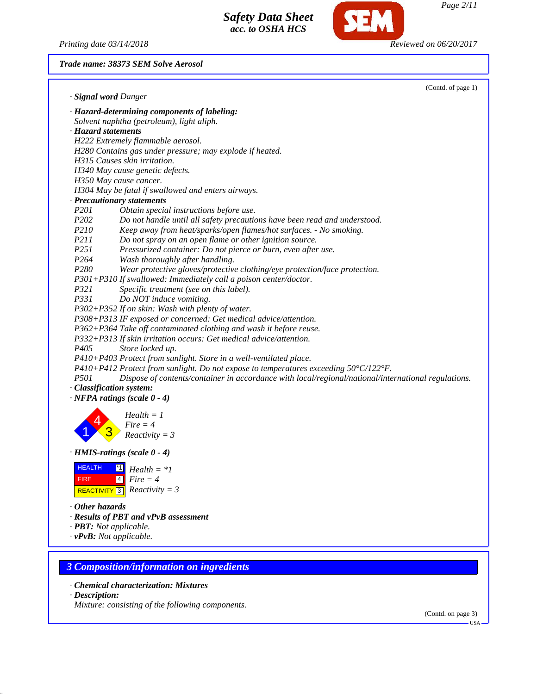*Printing date 03/14/2018 Reviewed on 06/20/2017*

**SEM** 

*Trade name: 38373 SEM Solve Aerosol*

|                       | (Contd. of page 1)                                                                                  |
|-----------------------|-----------------------------------------------------------------------------------------------------|
|                       | · Signal word Danger                                                                                |
|                       | · Hazard-determining components of labeling:                                                        |
|                       | Solvent naphtha (petroleum), light aliph.                                                           |
|                       | · Hazard statements                                                                                 |
|                       | H222 Extremely flammable aerosol.                                                                   |
|                       | H280 Contains gas under pressure; may explode if heated.                                            |
|                       | H315 Causes skin irritation.                                                                        |
|                       | H340 May cause genetic defects.                                                                     |
|                       | H350 May cause cancer.                                                                              |
|                       | H304 May be fatal if swallowed and enters airways.                                                  |
|                       | · Precautionary statements                                                                          |
| <i>P201</i>           | Obtain special instructions before use.                                                             |
| P202                  | Do not handle until all safety precautions have been read and understood.                           |
| <i>P210</i>           | Keep away from heat/sparks/open flames/hot surfaces. - No smoking.                                  |
| P211                  | Do not spray on an open flame or other ignition source.                                             |
| P <sub>251</sub>      | Pressurized container: Do not pierce or burn, even after use.                                       |
| P <sub>264</sub>      | Wash thoroughly after handling.                                                                     |
| P <sub>280</sub>      | Wear protective gloves/protective clothing/eye protection/face protection.                          |
|                       | P301+P310 If swallowed: Immediately call a poison center/doctor.                                    |
| P321                  | Specific treatment (see on this label).                                                             |
| P331                  | Do NOT induce vomiting.                                                                             |
|                       | P302+P352 If on skin: Wash with plenty of water.                                                    |
|                       | P308+P313 IF exposed or concerned: Get medical advice/attention.                                    |
|                       | P362+P364 Take off contaminated clothing and wash it before reuse.                                  |
|                       | P332+P313 If skin irritation occurs: Get medical advice/attention.                                  |
| P <sub>405</sub>      | Store locked up.                                                                                    |
|                       | P410+P403 Protect from sunlight. Store in a well-ventilated place.                                  |
|                       | P410+P412 Protect from sunlight. Do not expose to temperatures exceeding $50^{\circ}$ C/122°F.      |
| <i>P501</i>           | Dispose of contents/container in accordance with local/regional/national/international regulations. |
|                       | · Classification system:                                                                            |
|                       | $\cdot$ NFPA ratings (scale 0 - 4)                                                                  |
|                       | $Health = 1$                                                                                        |
|                       | $Fire = 4$                                                                                          |
|                       | $Reactivity = 3$                                                                                    |
|                       |                                                                                                     |
|                       | $\cdot$ HMIS-ratings (scale $0 - 4$ )                                                               |
| <b>HEALTH</b>         | $^*1$<br>$Health = *1$                                                                              |
| <b>FIRE</b>           | $4 \blacksquare$<br>$Fire = 4$                                                                      |
|                       | REACTIVITY 3 Reactivity = 3                                                                         |
|                       |                                                                                                     |
| $\cdot$ Other hazards |                                                                                                     |
|                       | · Results of PBT and vPvB assessment                                                                |
|                       | · PBT: Not applicable.                                                                              |
|                       | $\cdot$ vPvB: Not applicable.                                                                       |
|                       |                                                                                                     |
|                       |                                                                                                     |
|                       | <b>3 Composition/information on ingredients</b>                                                     |
|                       | · Chemical characterization: Mixtures                                                               |
|                       |                                                                                                     |

*· Description:*

*Mixture: consisting of the following components.*

(Contd. on page 3)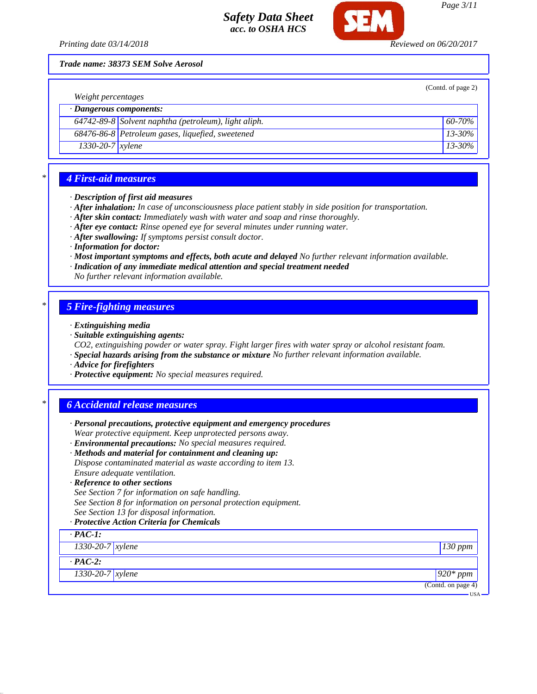

*Page 3/11*

*Printing date 03/14/2018 Reviewed on 06/20/2017*

*Trade name: 38373 SEM Solve Aerosol*

| Weight percentages            |                                                      | (Contd. of page 2) |
|-------------------------------|------------------------------------------------------|--------------------|
| $\cdot$ Dangerous components: |                                                      |                    |
|                               | 64742-89-8 Solvent naphtha (petroleum), light aliph. | $60 - 70\%$        |
|                               | 68476-86-8 Petroleum gases, liquefied, sweetened     | $13 - 30\%$        |
| $1330-20-7$ xylene            |                                                      | $13 - 30\%$        |
|                               |                                                      |                    |

### *\* 4 First-aid measures*

#### *· Description of first aid measures*

- *· After inhalation: In case of unconsciousness place patient stably in side position for transportation.*
- *· After skin contact: Immediately wash with water and soap and rinse thoroughly.*
- *· After eye contact: Rinse opened eye for several minutes under running water.*
- *· After swallowing: If symptoms persist consult doctor.*
- *· Information for doctor:*
- *· Most important symptoms and effects, both acute and delayed No further relevant information available.*
- *· Indication of any immediate medical attention and special treatment needed*
- *No further relevant information available.*

### *\* 5 Fire-fighting measures*

- *· Extinguishing media*
- *· Suitable extinguishing agents:*
- *CO2, extinguishing powder or water spray. Fight larger fires with water spray or alcohol resistant foam.*
- *· Special hazards arising from the substance or mixture No further relevant information available.*
- *· Advice for firefighters*
- *· Protective equipment: No special measures required.*

### *\* 6 Accidental release measures*

| · Personal precautions, protective equipment and emergency procedures                                                   |                    |
|-------------------------------------------------------------------------------------------------------------------------|--------------------|
| Wear protective equipment. Keep unprotected persons away.<br>· Environmental precautions: No special measures required. |                    |
| · Methods and material for containment and cleaning up:                                                                 |                    |
| Dispose contaminated material as waste according to item 13.                                                            |                    |
| Ensure adequate ventilation.                                                                                            |                    |
| · Reference to other sections                                                                                           |                    |
| See Section 7 for information on safe handling.                                                                         |                    |
| See Section 8 for information on personal protection equipment.                                                         |                    |
| See Section 13 for disposal information.                                                                                |                    |
| · Protective Action Criteria for Chemicals                                                                              |                    |
| $\cdot$ PAC-1:                                                                                                          |                    |
| $1330 - 20 - 7$ <i>xylene</i>                                                                                           | 130 ppm            |
| $\cdot$ PAC-2:                                                                                                          |                    |
| $1330 - 20 - 7$ xylene                                                                                                  | $\sqrt{920}$ * ppm |
|                                                                                                                         | (Contd. on page 4) |
|                                                                                                                         | $USA -$            |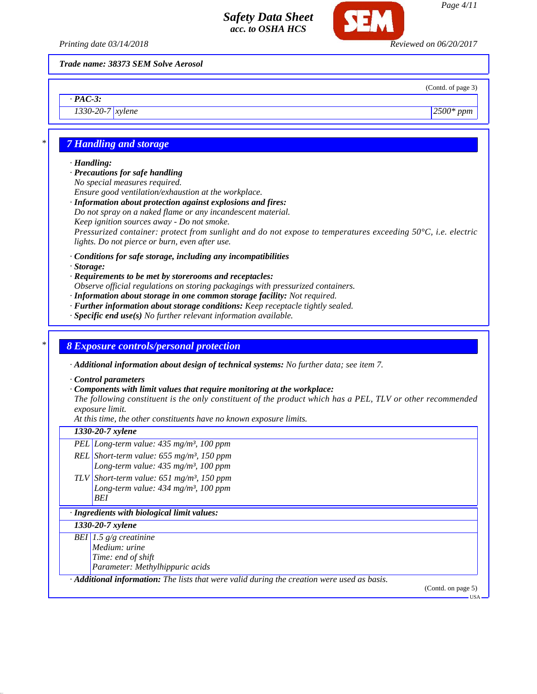

*Page 4/11*

*Printing date 03/14/2018 Reviewed on 06/20/2017*

*Trade name: 38373 SEM Solve Aerosol*

*· PAC-3: 1330-20-7 xylene 2500\* ppm*

(Contd. of page 3)

# *\* 7 Handling and storage*

#### *· Handling:*

*· Precautions for safe handling No special measures required.*

*Ensure good ventilation/exhaustion at the workplace.*

#### *· Information about protection against explosions and fires:*

*Do not spray on a naked flame or any incandescent material.*

*Keep ignition sources away - Do not smoke.*

*Pressurized container: protect from sunlight and do not expose to temperatures exceeding 50°C, i.e. electric lights. Do not pierce or burn, even after use.*

*· Conditions for safe storage, including any incompatibilities*

*· Storage:*

- *· Requirements to be met by storerooms and receptacles:*
- *Observe official regulations on storing packagings with pressurized containers.*
- *· Information about storage in one common storage facility: Not required.*
- *· Further information about storage conditions: Keep receptacle tightly sealed.*
- *· Specific end use(s) No further relevant information available.*

## *\* 8 Exposure controls/personal protection*

*· Additional information about design of technical systems: No further data; see item 7.*

*· Control parameters*

*· Components with limit values that require monitoring at the workplace:*

*The following constituent is the only constituent of the product which has a PEL, TLV or other recommended exposure limit.*

*At this time, the other constituents have no known exposure limits.*

#### *1330-20-7 xylene*

*PEL Long-term value: 435 mg/m³, 100 ppm*

*REL Short-term value: 655 mg/m³, 150 ppm Long-term value: 435 mg/m³, 100 ppm*

*TLV Short-term value: 651 mg/m³, 150 ppm Long-term value: 434 mg/m³, 100 ppm BEI*

### *· Ingredients with biological limit values:*

*1330-20-7 xylene*

*BEI 1.5 g/g creatinine Medium: urine*

*Time: end of shift*

*Parameter: Methylhippuric acids*

*· Additional information: The lists that were valid during the creation were used as basis.*

(Contd. on page 5)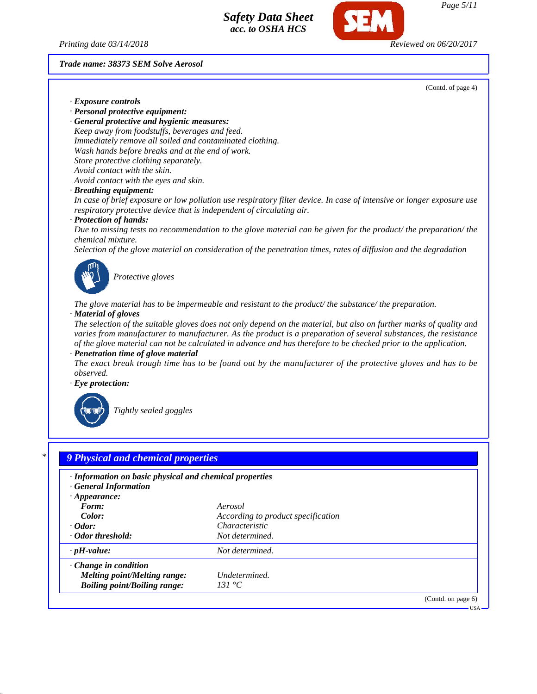*Page 5/11*

*Printing date 03/14/2018 Reviewed on 06/20/2017*

#### *Trade name: 38373 SEM Solve Aerosol*

(Contd. of page 4)

- *· Exposure controls*
- *· Personal protective equipment:*

*· General protective and hygienic measures: Keep away from foodstuffs, beverages and feed. Immediately remove all soiled and contaminated clothing. Wash hands before breaks and at the end of work. Store protective clothing separately. Avoid contact with the skin. Avoid contact with the eyes and skin.*

*· Breathing equipment:*

*In case of brief exposure or low pollution use respiratory filter device. In case of intensive or longer exposure use respiratory protective device that is independent of circulating air.*

*· Protection of hands:*

*Due to missing tests no recommendation to the glove material can be given for the product/ the preparation/ the chemical mixture.*

*Selection of the glove material on consideration of the penetration times, rates of diffusion and the degradation*



*Protective gloves*

*The glove material has to be impermeable and resistant to the product/ the substance/ the preparation. · Material of gloves*

*The selection of the suitable gloves does not only depend on the material, but also on further marks of quality and varies from manufacturer to manufacturer. As the product is a preparation of several substances, the resistance of the glove material can not be calculated in advance and has therefore to be checked prior to the application.*

*· Penetration time of glove material*

*The exact break trough time has to be found out by the manufacturer of the protective gloves and has to be observed.*

*· Eye protection:*



*Tightly sealed goggles*

| · Information on basic physical and chemical properties<br><b>General Information</b> |                                    |  |
|---------------------------------------------------------------------------------------|------------------------------------|--|
| $\cdot$ Appearance:                                                                   |                                    |  |
| Form:                                                                                 | Aerosol                            |  |
| Color:                                                                                | According to product specification |  |
| $\cdot$ Odor:                                                                         | Characteristic                     |  |
| · Odor threshold:                                                                     | Not determined.                    |  |
| $\cdot$ pH-value:                                                                     | Not determined.                    |  |
| $\cdot$ Change in condition                                                           |                                    |  |
| Melting point/Melting range:                                                          | Undetermined.                      |  |
| <b>Boiling point/Boiling range:</b>                                                   | 131 °C                             |  |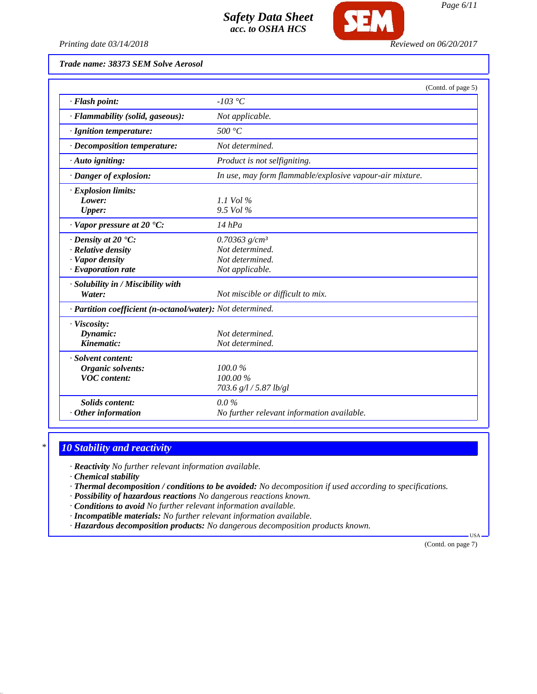

*Printing date 03/14/2018 Reviewed on 06/20/2017*

*Trade name: 38373 SEM Solve Aerosol*

|                                                                                                       | (Contd. of page 5)                                                                   |
|-------------------------------------------------------------------------------------------------------|--------------------------------------------------------------------------------------|
| · Flash point:                                                                                        | -103 °C                                                                              |
| · Flammability (solid, gaseous):                                                                      | Not applicable.                                                                      |
| · Ignition temperature:                                                                               | 500 °C                                                                               |
| · Decomposition temperature:                                                                          | Not determined.                                                                      |
| · Auto igniting:                                                                                      | Product is not selfigniting.                                                         |
| · Danger of explosion:                                                                                | In use, may form flammable/explosive vapour-air mixture.                             |
| $\cdot$ Explosion limits:<br>Lower:<br><b>Upper:</b>                                                  | $1.1$ Vol %<br>9.5 Vol %                                                             |
| $\cdot$ Vapor pressure at 20 $\cdot$ C:                                                               | $14$ hPa                                                                             |
| $\cdot$ Density at 20 $\cdot$ C:<br>· Relative density<br>· Vapor density<br>$\cdot$ Evaporation rate | $0.70363$ g/cm <sup>3</sup><br>Not determined.<br>Not determined.<br>Not applicable. |
| · Solubility in / Miscibility with<br>Water:                                                          | Not miscible or difficult to mix.                                                    |
| · Partition coefficient (n-octanol/water): Not determined.                                            |                                                                                      |
| · Viscosity:<br>Dynamic:<br>Kinematic:                                                                | Not determined.<br>Not determined.                                                   |
| · Solvent content:<br>Organic solvents:<br><b>VOC</b> content:                                        | 100.0%<br>100.00 %<br>703.6 g/l / 5.87 lb/gl                                         |
| <b>Solids content:</b><br>Other information                                                           | $0.0\%$<br>No further relevant information available.                                |

# *\* 10 Stability and reactivity*

*· Reactivity No further relevant information available.*

*· Chemical stability*

*· Thermal decomposition / conditions to be avoided: No decomposition if used according to specifications.*

*· Possibility of hazardous reactions No dangerous reactions known.*

*· Conditions to avoid No further relevant information available.*

- *· Incompatible materials: No further relevant information available.*
- *· Hazardous decomposition products: No dangerous decomposition products known.*

(Contd. on page 7)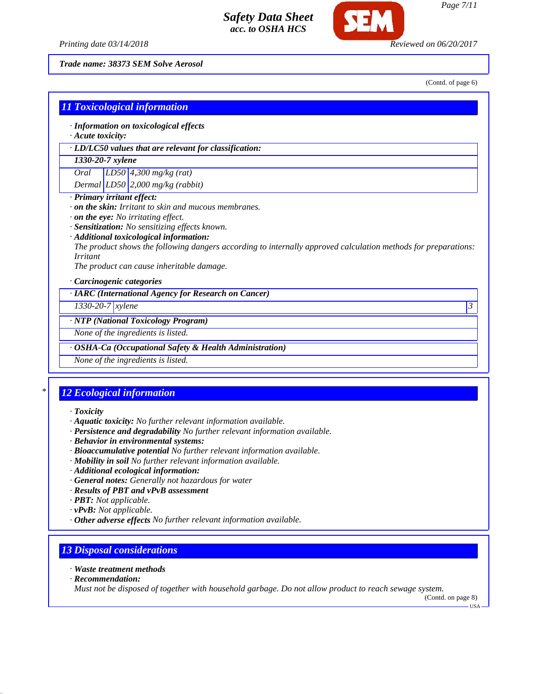



*Page 7/11*

*Trade name: 38373 SEM Solve Aerosol*

(Contd. of page 6)

|                                    |                                                             | <b>11 Toxicological information</b><br>· Information on toxicological effects                                  |  |  |  |
|------------------------------------|-------------------------------------------------------------|----------------------------------------------------------------------------------------------------------------|--|--|--|
|                                    | · Acute toxicity:                                           |                                                                                                                |  |  |  |
|                                    |                                                             | · LD/LC50 values that are relevant for classification:                                                         |  |  |  |
| 1330-20-7 xylene                   |                                                             |                                                                                                                |  |  |  |
| Oral                               | $LD50$ 4,300 mg/kg (rat)                                    |                                                                                                                |  |  |  |
|                                    |                                                             | Dermal $LD50$ 2,000 mg/kg (rabbit)                                                                             |  |  |  |
| · Primary irritant effect:         |                                                             |                                                                                                                |  |  |  |
|                                    | $\cdot$ on the skin: Irritant to skin and mucous membranes. |                                                                                                                |  |  |  |
|                                    | $\cdot$ on the eye: No irritating effect.                   |                                                                                                                |  |  |  |
|                                    |                                                             | · Sensitization: No sensitizing effects known.                                                                 |  |  |  |
|                                    |                                                             | · Additional toxicological information:                                                                        |  |  |  |
|                                    |                                                             | The product shows the following dangers according to internally approved calculation methods for preparations: |  |  |  |
| <i>Irritant</i>                    |                                                             |                                                                                                                |  |  |  |
|                                    |                                                             | The product can cause inheritable damage.                                                                      |  |  |  |
| · Carcinogenic categories          |                                                             |                                                                                                                |  |  |  |
|                                    |                                                             | · IARC (International Agency for Research on Cancer)                                                           |  |  |  |
| $1330 - 20 - 7$ xylene<br>3        |                                                             |                                                                                                                |  |  |  |
|                                    |                                                             | · NTP (National Toxicology Program)                                                                            |  |  |  |
| None of the ingredients is listed. |                                                             |                                                                                                                |  |  |  |
|                                    |                                                             | · OSHA-Ca (Occupational Safety & Health Administration)                                                        |  |  |  |
|                                    |                                                             | None of the ingredients is listed.                                                                             |  |  |  |
|                                    |                                                             |                                                                                                                |  |  |  |

# *\* 12 Ecological information*

- *· Toxicity*
- *· Aquatic toxicity: No further relevant information available.*
- *· Persistence and degradability No further relevant information available.*
- *· Behavior in environmental systems:*
- *· Bioaccumulative potential No further relevant information available.*
- *· Mobility in soil No further relevant information available.*
- *· Additional ecological information:*
- *· General notes: Generally not hazardous for water*
- *· Results of PBT and vPvB assessment*
- *· PBT: Not applicable.*
- *· vPvB: Not applicable.*
- *· Other adverse effects No further relevant information available.*

### *13 Disposal considerations*

- *· Waste treatment methods*
- *· Recommendation:*

*Must not be disposed of together with household garbage. Do not allow product to reach sewage system.*

(Contd. on page 8)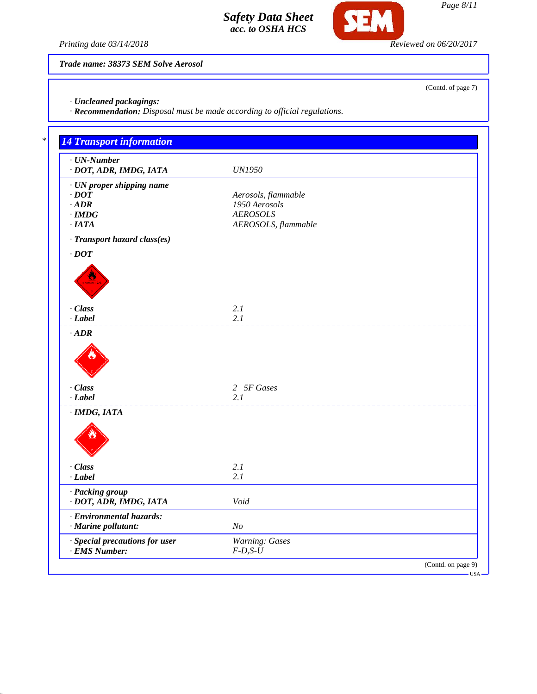

**SEM** 

*Trade name: 38373 SEM Solve Aerosol*

*· Uncleaned packagings:*

*· Recommendation: Disposal must be made according to official regulations.*

| $\cdot$ UN-Number<br>· DOT, ADR, IMDG, IATA | <b>UN1950</b>       |
|---------------------------------------------|---------------------|
| · UN proper shipping name                   |                     |
| $\cdot$ DOT                                 | Aerosols, flammable |
| $\cdot$ ADR                                 | 1950 Aerosols       |
| $\cdot$ IMDG                                | <b>AEROSOLS</b>     |
| ·IATA                                       | AEROSOLS, flammable |
| · Transport hazard class(es)                |                     |
| $\cdot$ DOT                                 |                     |
|                                             |                     |
|                                             |                     |
|                                             |                     |
|                                             |                     |
| · Class                                     | 2.1                 |
| $-Label$                                    | 2.1                 |
| $\cdot$ ADR                                 |                     |
|                                             |                     |
| · Class                                     | 2 5F Gases          |
| $-Label$                                    | 2.1                 |
| $\cdot$ IMDG, IATA                          |                     |
|                                             |                     |
|                                             |                     |
| · Class                                     | 2.1                 |
| $\cdot$ Label                               | 2.1                 |
| · Packing group                             |                     |
| · DOT, ADR, IMDG, IATA                      | Void                |
| · Environmental hazards:                    |                     |
| · Marine pollutant:                         | N <sub>O</sub>      |
| · Special precautions for user              | Warning: Gases      |
| $\cdot$ EMS Number:                         | $F-D, S-U$          |

(Contd. of page 7)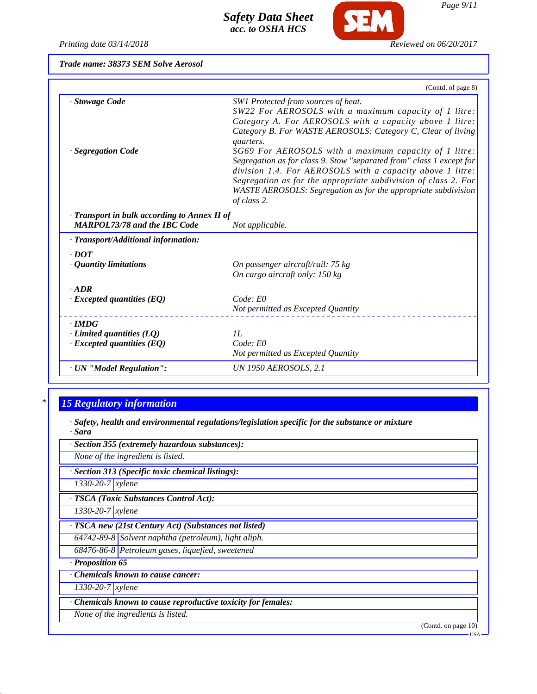*Printing date 03/14/2018 Reviewed on 06/20/2017*

**SEM** 

|  |  | Trade name: 38373 SEM Solve Aerosol |
|--|--|-------------------------------------|
|  |  |                                     |

|                                                                                     | (Contd. of page 8)                                                                                                                                                                                                                                                                                                                                                                                                                                                                                                                                                                   |
|-------------------------------------------------------------------------------------|--------------------------------------------------------------------------------------------------------------------------------------------------------------------------------------------------------------------------------------------------------------------------------------------------------------------------------------------------------------------------------------------------------------------------------------------------------------------------------------------------------------------------------------------------------------------------------------|
| · Stowage Code<br>· Segregation Code                                                | SW1 Protected from sources of heat.<br>SW22 For AEROSOLS with a maximum capacity of 1 litre:<br>Category A. For AEROSOLS with a capacity above 1 litre:<br>Category B. For WASTE AEROSOLS: Category C, Clear of living<br>quarters.<br>SG69 For AEROSOLS with a maximum capacity of 1 litre:<br>Segregation as for class 9. Stow "separated from" class 1 except for<br>division 1.4. For AEROSOLS with a capacity above 1 litre:<br>Segregation as for the appropriate subdivision of class 2. For<br>WASTE AEROSOLS: Segregation as for the appropriate subdivision<br>of class 2. |
| · Transport in bulk according to Annex II of<br><b>MARPOL73/78 and the IBC Code</b> | Not applicable.                                                                                                                                                                                                                                                                                                                                                                                                                                                                                                                                                                      |
| · Transport/Additional information:                                                 |                                                                                                                                                                                                                                                                                                                                                                                                                                                                                                                                                                                      |
| $\cdot$ DOT<br>· Quantity limitations                                               | On passenger aircraft/rail: 75 kg<br>On cargo aircraft only: 150 kg                                                                                                                                                                                                                                                                                                                                                                                                                                                                                                                  |
| $\cdot$ ADR<br>$\cdot$ Excepted quantities (EQ)                                     | Code: E0<br>Not permitted as Excepted Quantity                                                                                                                                                                                                                                                                                                                                                                                                                                                                                                                                       |
| $\cdot$ IMDG<br>$\cdot$ Limited quantities (LQ)<br>$\cdot$ Excepted quantities (EQ) | IL<br>Code: E0<br>Not permitted as Excepted Quantity                                                                                                                                                                                                                                                                                                                                                                                                                                                                                                                                 |
| · UN "Model Regulation":                                                            | UN 1950 AEROSOLS, 2.1                                                                                                                                                                                                                                                                                                                                                                                                                                                                                                                                                                |

# *\* 15 Regulatory information*

*· Safety, health and environmental regulations/legislation specific for the substance or mixture · Sara*

| · Section 355 (extremely hazardous substances):               |  |  |  |
|---------------------------------------------------------------|--|--|--|
| None of the ingredient is listed.                             |  |  |  |
| · Section 313 (Specific toxic chemical listings):             |  |  |  |
| $1330 - 20 - 7$ xylene                                        |  |  |  |
| · TSCA (Toxic Substances Control Act):                        |  |  |  |
| 1330-20-7 xylene                                              |  |  |  |
| · TSCA new (21st Century Act) (Substances not listed)         |  |  |  |
| 64742-89-8 Solvent naphtha (petroleum), light aliph.          |  |  |  |
| 68476-86-8 Petroleum gases, liquefied, sweetened              |  |  |  |
| · Proposition 65                                              |  |  |  |
| Chemicals known to cause cancer:                              |  |  |  |
| $1330 - 20 - 7$ <i>xylene</i>                                 |  |  |  |
| · Chemicals known to cause reproductive toxicity for females: |  |  |  |
| None of the ingredients is listed.                            |  |  |  |
| $(Contd)$ on page $10$                                        |  |  |  |

*Page 9/11*

(Contd. on page USA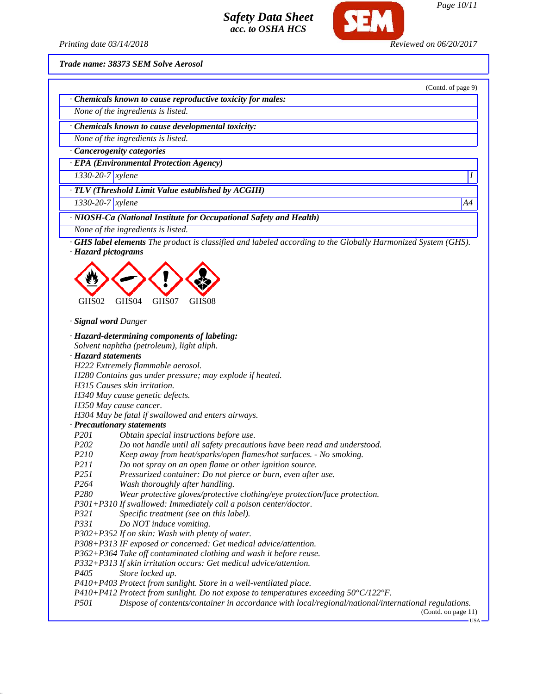

*Page 10/11*

(Contd. of page 9)

*Printing date 03/14/2018 Reviewed on 06/20/2017*

*Trade name: 38373 SEM Solve Aerosol*

*· Chemicals known to cause reproductive toxicity for males:*

*None of the ingredients is listed.*

*· Chemicals known to cause developmental toxicity:*

*None of the ingredients is listed.*

*· Cancerogenity categories*

*· EPA (Environmental Protection Agency)*

*1330-20-7 xylene I* 

*· TLV (Threshold Limit Value established by ACGIH)*

*1330-20-7 xylene A4*

*· NIOSH-Ca (National Institute for Occupational Safety and Health)*

*None of the ingredients is listed.*

*· GHS label elements The product is classified and labeled according to the Globally Harmonized System (GHS).*

*· Hazard pictograms*



*· Signal word Danger*

*· Hazard-determining components of labeling:*

*Solvent naphtha (petroleum), light aliph.*

*· Hazard statements*

*H222 Extremely flammable aerosol.*

*H280 Contains gas under pressure; may explode if heated.*

*H315 Causes skin irritation.*

*H340 May cause genetic defects.*

*H350 May cause cancer.*

*H304 May be fatal if swallowed and enters airways.*

*· Precautionary statements*

- *P201 Obtain special instructions before use.*
- *P202 Do not handle until all safety precautions have been read and understood.*
- *P210 Keep away from heat/sparks/open flames/hot surfaces. No smoking.*
- *P211 Do not spray on an open flame or other ignition source.*
- *P251 Pressurized container: Do not pierce or burn, even after use.*
- *P264 Wash thoroughly after handling.*
- *P280 Wear protective gloves/protective clothing/eye protection/face protection.*

*P301+P310 If swallowed: Immediately call a poison center/doctor.*

- *P321 Specific treatment (see on this label).*
- *P331 Do NOT induce vomiting.*

*P302+P352 If on skin: Wash with plenty of water.*

*P308+P313 IF exposed or concerned: Get medical advice/attention.*

*P362+P364 Take off contaminated clothing and wash it before reuse.*

*P332+P313 If skin irritation occurs: Get medical advice/attention.*

*P405 Store locked up.*

*P410+P403 Protect from sunlight. Store in a well-ventilated place.*

*P410+P412 Protect from sunlight. Do not expose to temperatures exceeding 50°C/122°F.*

*P501 Dispose of contents/container in accordance with local/regional/national/international regulations.*

(Contd. on page 11)

USA